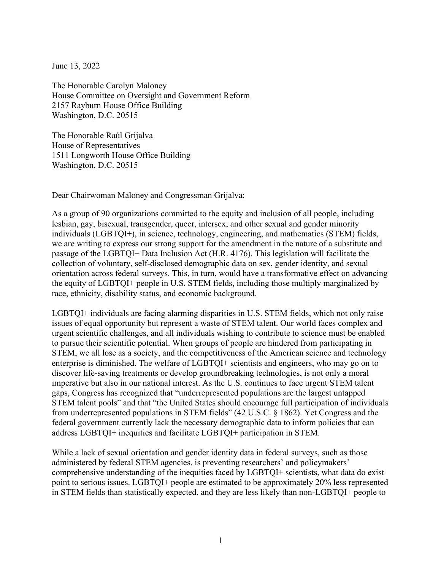June 13, 2022

The Honorable Carolyn Maloney House Committee on Oversight and Government Reform 2157 Rayburn House Office Building Washington, D.C. 20515

The Honorable Raúl Grijalva House of Representatives 1511 Longworth House Office Building Washington, D.C. 20515

Dear Chairwoman Maloney and Congressman Grijalva:

As a group of 90 organizations committed to the equity and inclusion of all people, including lesbian, gay, bisexual, transgender, queer, intersex, and other sexual and gender minority individuals (LGBTQI+), in science, technology, engineering, and mathematics (STEM) fields, we are writing to express our strong support for the amendment in the nature of a substitute and passage of the LGBTQI+ Data Inclusion Act (H.R. 4176). This legislation will facilitate the collection of voluntary, self‐disclosed demographic data on sex, gender identity, and sexual orientation across federal surveys. This, in turn, would have a transformative effect on advancing the equity of LGBTQI+ people in U.S. STEM fields, including those multiply marginalized by race, ethnicity, disability status, and economic background.

LGBTQI+ individuals are facing alarming disparities in U.S. STEM fields, which not only raise issues of equal opportunity but represent a waste of STEM talent. Our world faces complex and urgent scientific challenges, and all individuals wishing to contribute to science must be enabled to pursue their scientific potential. When groups of people are hindered from participating in STEM, we all lose as a society, and the competitiveness of the American science and technology enterprise is diminished. The welfare of LGBTQI+ scientists and engineers, who may go on to discover life-saving treatments or develop groundbreaking technologies, is not only a moral imperative but also in our national interest. As the U.S. continues to face urgent STEM talent gaps, Congress has recognized that "underrepresented populations are the largest untapped STEM talent pools" and that "the United States should encourage full participation of individuals from underrepresented populations in STEM fields" (42 U.S.C. § 1862). Yet Congress and the federal government currently lack the necessary demographic data to inform policies that can address LGBTQI+ inequities and facilitate LGBTQI+ participation in STEM.

While a lack of sexual orientation and gender identity data in federal surveys, such as those administered by federal STEM agencies, is preventing researchers' and policymakers' comprehensive understanding of the inequities faced by LGBTQI+ scientists, what data do exist point to serious issues. LGBTQI+ people are estimated to be approximately 20% less represented in STEM fields than statistically expected, and they are less likely than non-LGBTQI+ people to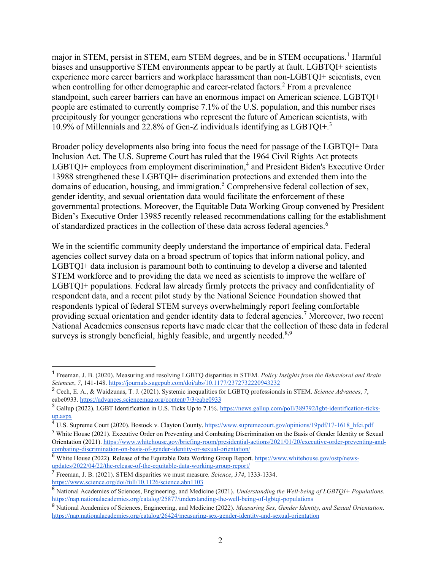major in STEM, persist in STEM, earn STEM degrees, and be in STEM occupations.<sup>1</sup> Harmful biases and unsupportive STEM environments appear to be partly at fault. LGBTQI+ scientists experience more career barriers and workplace harassment than non-LGBTQI+ scientists, even when controlling for other demographic and career-related factors.<sup>2</sup> From a prevalence standpoint, such career barriers can have an enormous impact on American science. LGBTQI+ people are estimated to currently comprise 7.1% of the U.S. population, and this number rises precipitously for younger generations who represent the future of American scientists, with 10.9% of Millennials and 22.8% of Gen-Z individuals identifying as  $LGBTQI^{+3}$ 

Broader policy developments also bring into focus the need for passage of the LGBTQI+ Data Inclusion Act. The U.S. Supreme Court has ruled that the 1964 Civil Rights Act protects  $L$ GBTQI+ employees from employment discrimination,<sup>4</sup> and President Biden's Executive Order 13988 strengthened these LGBTQI+ discrimination protections and extended them into the domains of education, housing, and immigration.<sup>5</sup> Comprehensive federal collection of sex, gender identity, and sexual orientation data would facilitate the enforcement of these governmental protections. Moreover, the Equitable Data Working Group convened by President Biden's Executive Order 13985 recently released recommendations calling for the establishment of standardized practices in the collection of these data across federal agencies.<sup>6</sup>

We in the scientific community deeply understand the importance of empirical data. Federal agencies collect survey data on a broad spectrum of topics that inform national policy, and LGBTQI+ data inclusion is paramount both to continuing to develop a diverse and talented STEM workforce and to providing the data we need as scientists to improve the welfare of LGBTQI+ populations. Federal law already firmly protects the privacy and confidentiality of respondent data, and a recent pilot study by the National Science Foundation showed that respondents typical of federal STEM surveys overwhelmingly report feeling comfortable providing sexual orientation and gender identity data to federal agencies.<sup>7</sup> Moreover, two recent National Academies consensus reports have made clear that the collection of these data in federal surveys is strongly beneficial, highly feasible, and urgently needed.<sup>8,9</sup>

<sup>1</sup> Freeman, J. B. (2020). Measuring and resolving LGBTQ disparities in STEM. *Policy Insights from the Behavioral and Brain Sciences*, *7*, 141-148.<https://journals.sagepub.com/doi/abs/10.1177/2372732220943232>

<sup>2</sup> Cech, E. A., & Waidzunas, T. J. (2021). Systemic inequalities for LGBTQ professionals in STEM. *Science Advances*, *7*, eabe0933.<https://advances.sciencemag.org/content/7/3/eabe0933>

<sup>3</sup> Gallup (2022). LGBT Identification in U.S. Ticks Up to 7.1%[. https://news.gallup.com/poll/389792/lgbt-identification-ticks](https://news.gallup.com/poll/389792/lgbt-identification-ticks-up.aspx)[up.aspx](https://news.gallup.com/poll/389792/lgbt-identification-ticks-up.aspx)

<sup>&</sup>lt;sup>4</sup> U.S. Supreme Court (2020). Bostock v. Clayton Count[y.](https://www.supremecourt.gov/opinions/19pdf/17-1618_hfci.pdf) https://www.supremecourt.gov/opinions/19pdf/17-1618 hfci.pdf

<sup>5</sup> White House (2021). Executive Order on Preventing and Combating Discrimination on the Basis of Gender Identity or Sexual Orientation (2021[\).](https://www.whitehouse.gov/briefing-room/presidential-actions/2021/01/20/executive-order-preventing-and-combating-discrimination-on-basis-of-gender-identity-or-sexual-orientation/) [https://www.whitehouse.gov/briefing-room/presidential-actions/2021/01/20/executive-order-preventing-and](https://www.whitehouse.gov/briefing-room/presidential-actions/2021/01/20/executive-order-preventing-and-combating-discrimination-on-basis-of-gender-identity-or-sexual-orientation/)[combating-discrimination-on-basis-of-gender-identity-or-sexual-orientation/](https://www.whitehouse.gov/briefing-room/presidential-actions/2021/01/20/executive-order-preventing-and-combating-discrimination-on-basis-of-gender-identity-or-sexual-orientation/)

<sup>6</sup> White House (2022). Release of the Equitable Data Working Group Report. [https://www.whitehouse.gov/ostp/news](https://www.whitehouse.gov/ostp/news-updates/2022/04/22/the-release-of-the-equitable-data-working-group-report/)[updates/2022/04/22/the-release-of-the-equitable-data-working-group-report/](https://www.whitehouse.gov/ostp/news-updates/2022/04/22/the-release-of-the-equitable-data-working-group-report/)

<sup>7</sup> Freeman, J. B. (2021). STEM disparities we must measure. *Science*, *374*, 1333-1334. <https://www.science.org/doi/full/10.1126/science.abn1103>

<sup>8</sup> National Academies of Sciences, Engineering, and Medicine (2021). *Understanding the Well-being of LGBTQI+ Populations*. <https://nap.nationalacademies.org/catalog/25877/understanding-the-well-being-of-lgbtqi-populations>

<sup>9</sup> National Academies of Sciences, Engineering, and Medicine (2022). *Measuring Sex, Gender Identity, and Sexual Orientation*. <https://nap.nationalacademies.org/catalog/26424/measuring-sex-gender-identity-and-sexual-orientation>